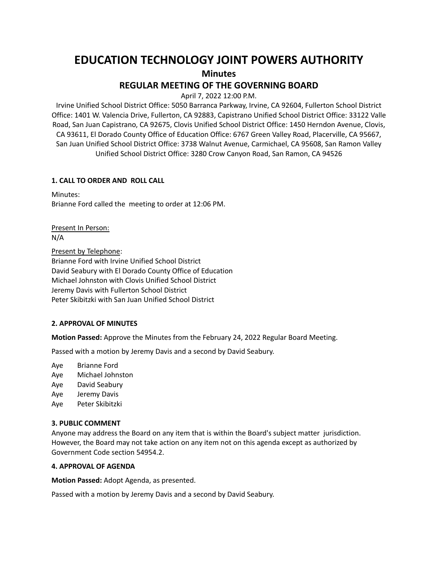# **EDUCATION TECHNOLOGY JOINT POWERS AUTHORITY Minutes**

## **REGULAR MEETING OF THE GOVERNING BOARD**

April 7, 2022 12:00 P.M.

Irvine Unified School District Office: 5050 Barranca Parkway, Irvine, CA 92604, Fullerton School District Office: 1401 W. Valencia Drive, Fullerton, CA 92883, Capistrano Unified School District Office: 33122 Valle Road, San Juan Capistrano, CA 92675, Clovis Unified School District Office: 1450 Herndon Avenue, Clovis, CA 93611, El Dorado County Office of Education Office: 6767 Green Valley Road, Placerville, CA 95667, San Juan Unified School District Office: 3738 Walnut Avenue, Carmichael, CA 95608, San Ramon Valley Unified School District Office: 3280 Crow Canyon Road, San Ramon, CA 94526

#### **1. CALL TO ORDER AND ROLL CALL**

Minutes: Brianne Ford called the meeting to order at 12:06 PM.

Present In Person: N/A

Present by Telephone: Brianne Ford with Irvine Unified School District David Seabury with El Dorado County Office of Education Michael Johnston with Clovis Unified School District Jeremy Davis with Fullerton School District Peter Skibitzki with San Juan Unified School District

#### **2. APPROVAL OF MINUTES**

**Motion Passed:** Approve the Minutes from the February 24, 2022 Regular Board Meeting.

Passed with a motion by Jeremy Davis and a second by David Seabury.

Aye Brianne Ford

- Aye Michael Johnston
- Aye David Seabury
- Aye Jeremy Davis
- Aye Peter Skibitzki

#### **3. PUBLIC COMMENT**

Anyone may address the Board on any item that is within the Board's subject matter jurisdiction. However, the Board may not take action on any item not on this agenda except as authorized by Government Code section 54954.2.

#### **4. APPROVAL OF AGENDA**

**Motion Passed:** Adopt Agenda, as presented.

Passed with a motion by Jeremy Davis and a second by David Seabury.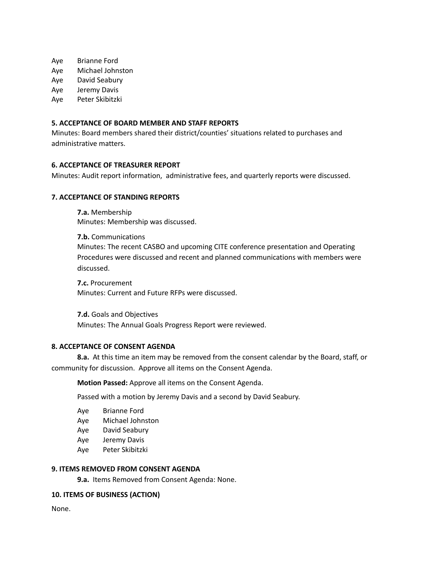Aye Brianne Ford

Aye Michael Johnston

Aye David Seabury

Aye Jeremy Davis

Aye Peter Skibitzki

#### **5. ACCEPTANCE OF BOARD MEMBER AND STAFF REPORTS**

Minutes: Board members shared their district/counties' situations related to purchases and administrative matters.

## **6. ACCEPTANCE OF TREASURER REPORT**

Minutes: Audit report information, administrative fees, and quarterly reports were discussed.

#### **7. ACCEPTANCE OF STANDING REPORTS**

**7.a.** Membership Minutes: Membership was discussed.

**7.b.** Communications Minutes: The recent CASBO and upcoming CITE conference presentation and Operating Procedures were discussed and recent and planned communications with members were discussed.

**7.c.** Procurement Minutes: Current and Future RFPs were discussed.

**7.d.** Goals and Objectives Minutes: The Annual Goals Progress Report were reviewed.

#### **8. ACCEPTANCE OF CONSENT AGENDA**

**8.a.** At this time an item may be removed from the consent calendar by the Board, staff, or community for discussion. Approve all items on the Consent Agenda.

**Motion Passed:** Approve all items on the Consent Agenda.

Passed with a motion by Jeremy Davis and a second by David Seabury.

- Aye Brianne Ford
- Aye Michael Johnston
- Aye David Seabury
- Aye Jeremy Davis
- Aye Peter Skibitzki

### **9. ITEMS REMOVED FROM CONSENT AGENDA**

**9.a.** Items Removed from Consent Agenda: None.

#### **10. ITEMS OF BUSINESS (ACTION)**

None.